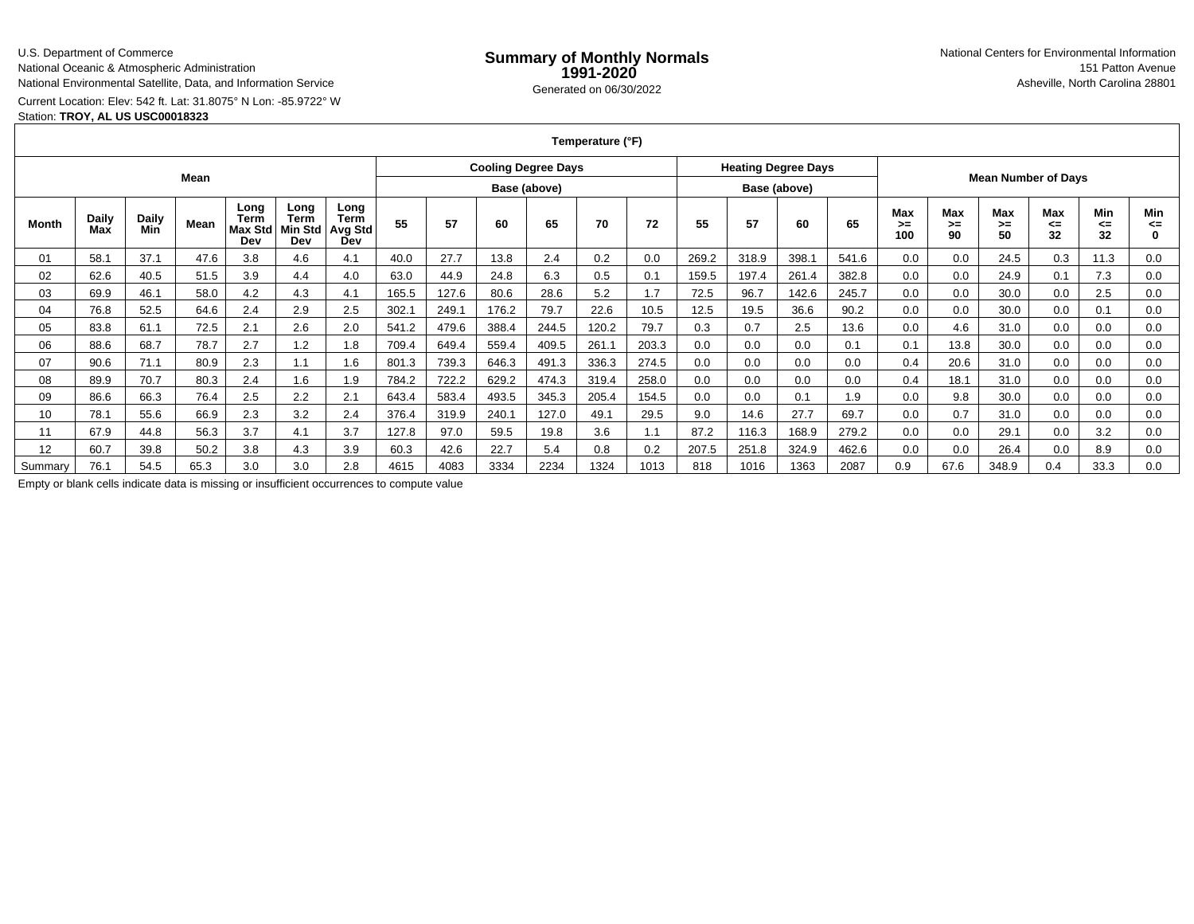### U.S. Department of Commerce

National Oceanic & Atmospheric Administration

National Environmental Satellite, Data, and Information Service

# Current Location: Elev: 542 ft. Lat: 31.8075° N Lon: -85.9722° W

## Station: **TROY, AL US USC00018323**

| Temperature (°F) |  |
|------------------|--|
|------------------|--|

|         |              |                     |      |                                | <b>Cooling Degree Days</b>            |                                       |              |       |       |       | <b>Heating Degree Days</b> |              |       |       |       |                            |                  |                 |                 |                 |                        |                |
|---------|--------------|---------------------|------|--------------------------------|---------------------------------------|---------------------------------------|--------------|-------|-------|-------|----------------------------|--------------|-------|-------|-------|----------------------------|------------------|-----------------|-----------------|-----------------|------------------------|----------------|
| Mean    |              |                     |      |                                |                                       |                                       | Base (above) |       |       |       |                            | Base (above) |       |       |       | <b>Mean Number of Days</b> |                  |                 |                 |                 |                        |                |
| Month   | Daily<br>Max | <b>Daily</b><br>Min | Mean | Long<br>Term<br>Max Std<br>Dev | Long<br><b>Term</b><br>Min Std<br>Dev | Long<br><b>Term</b><br>Avg Std<br>Dev | 55           | 57    | 60    | 65    | 70                         | 72           | 55    | 57    | 60    | 65                         | Max<br>>≕<br>100 | Max<br>>=<br>90 | Max<br>≻=<br>50 | Max<br>⋖⋍<br>32 | <b>Min</b><br><=<br>32 | Min<br><=<br>0 |
| 01      | 58.1         | 37.1                | 47.6 | 3.8                            | 4.6                                   | 4.1                                   | 40.0         | 27.7  | 13.8  | 2.4   | 0.2                        | 0.0          | 269.2 | 318.9 | 398.1 | 541.6                      | 0.0              | 0.0             | 24.5            | 0.3             | 11.3                   | 0.0            |
| 02      | 62.6         | 40.5                | 51.5 | 3.9                            | 4.4                                   | 4.0                                   | 63.0         | 44.9  | 24.8  | 6.3   | 0.5                        | 0.1          | 159.5 | 197.4 | 261.4 | 382.8                      | 0.0              | 0.0             | 24.9            | 0.1             | 7.3                    | 0.0            |
| 03      | 69.9         | 46.1                | 58.0 | 4.2                            | 4.3                                   | 4.1                                   | 165.5        | 127.6 | 80.6  | 28.6  | 5.2                        | 1.7          | 72.5  | 96.7  | 142.6 | 245.7                      | 0.0              | 0.0             | 30.0            | 0.0             | 2.5                    | 0.0            |
| 04      | 76.8         | 52.5                | 64.6 | 2.4                            | 2.9                                   | 2.5                                   | 302.1        | 249.1 | 176.2 | 79.7  | 22.6                       | 10.5         | 12.5  | 19.5  | 36.6  | 90.2                       | 0.0              | 0.0             | 30.0            | 0.0             | 0.1                    | 0.0            |
| 05      | 83.8         | 61.1                | 72.5 | 2.1                            | 2.6                                   | 2.0                                   | 541.2        | 479.6 | 388.4 | 244.5 | 120.2                      | 79.7         | 0.3   | 0.7   | 2.5   | 13.6                       | 0.0              | 4.6             | 31.0            | 0.0             | 0.0                    | 0.0            |
| 06      | 88.6         | 68.7                | 78.7 | 2.7                            | 1.2                                   | 1.8                                   | 709.4        | 649.4 | 559.4 | 409.5 | 261.1                      | 203.3        | 0.0   | 0.0   | 0.0   | 0.1                        | 0.1              | 13.8            | 30.0            | 0.0             | 0.0                    | 0.0            |
| 07      | 90.6         | 71.1                | 80.9 | 2.3                            | 1.1                                   | 1.6                                   | 801.3        | 739.3 | 646.3 | 491.3 | 336.3                      | 274.5        | 0.0   | 0.0   | 0.0   | 0.0                        | 0.4              | 20.6            | 31.0            | 0.0             | 0.0                    | 0.0            |
| 08      | 89.9         | 70.7                | 80.3 | 2.4                            | 1.6                                   | 1.9                                   | 784.2        | 722.2 | 629.2 | 474.3 | 319.4                      | 258.0        | 0.0   | 0.0   | 0.0   | 0.0                        | 0.4              | 18.1            | 31.0            | 0.0             | 0.0                    | 0.0            |
| 09      | 86.6         | 66.3                | 76.4 | 2.5                            | 2.2                                   | 2.1                                   | 643.4        | 583.4 | 493.5 | 345.3 | 205.4                      | 154.5        | 0.0   | 0.0   | 0.1   | 1.9                        | 0.0              | 9.8             | 30.0            | 0.0             | 0.0                    | 0.0            |
| 10      | 78.1         | 55.6                | 66.9 | 2.3                            | 3.2                                   | 2.4                                   | 376.4        | 319.9 | 240.1 | 127.0 | 49.1                       | 29.5         | 9.0   | 14.6  | 27.7  | 69.7                       | 0.0              | 0.7             | 31.0            | 0.0             | 0.0                    | 0.0            |
| 11      | 67.9         | 44.8                | 56.3 | 3.7                            | 4.1                                   | 3.7                                   | 127.8        | 97.0  | 59.5  | 19.8  | 3.6                        | 1.1          | 87.2  | 116.3 | 168.9 | 279.2                      | 0.0              | 0.0             | 29.1            | 0.0             | 3.2                    | 0.0            |
| 12      | 60.7         | 39.8                | 50.2 | 3.8                            | 4.3                                   | 3.9                                   | 60.3         | 42.6  | 22.7  | 5.4   | 0.8                        | 0.2          | 207.5 | 251.8 | 324.9 | 462.6                      | 0.0              | 0.0             | 26.4            | 0.0             | 8.9                    | 0.0            |
| Summary | 76.1         | 54.5                | 65.3 | 3.0                            | 3.0                                   | 2.8                                   | 4615         | 4083  | 3334  | 2234  | 1324                       | 1013         | 818   | 1016  | 1363  | 2087                       | 0.9              | 67.6            | 348.9           | 0.4             | 33.3                   | 0.0            |

Empty or blank cells indicate data is missing or insufficient occurrences to compute value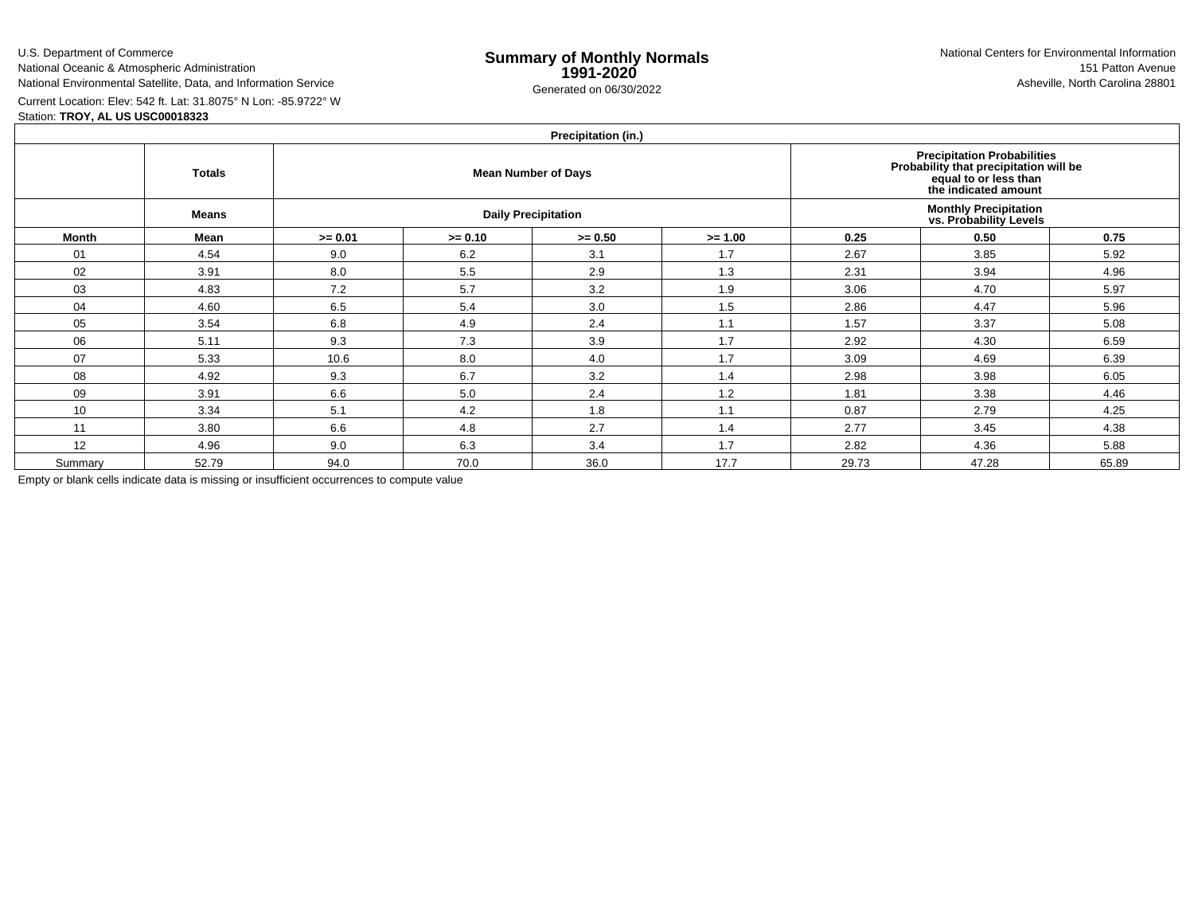U.S. Department of CommerceNational Oceanic & Atmospheric Administration

National Environmental Satellite, Data, and Information Service

Current Location: Elev: 542 ft. Lat: 31.8075° N Lon: -85.9722° WStation: **TROY, AL US USC00018323**

## **Precipitation (in.)**

|         | <b>Totals</b> |           |           | <b>Mean Number of Days</b> | Precipitation Probabilities<br>Probability that precipitation will be<br>equal to or less than<br>the indicated amount |                                                         |       |       |  |  |  |
|---------|---------------|-----------|-----------|----------------------------|------------------------------------------------------------------------------------------------------------------------|---------------------------------------------------------|-------|-------|--|--|--|
|         | <b>Means</b>  |           |           | <b>Daily Precipitation</b> |                                                                                                                        | <b>Monthly Precipitation<br/>vs. Probability Levels</b> |       |       |  |  |  |
| Month   | Mean          | $>= 0.01$ | $>= 0.10$ | $>= 0.50$                  | $>= 1.00$                                                                                                              | 0.25                                                    | 0.50  | 0.75  |  |  |  |
| 01      | 4.54          | 9.0       | 6.2       | 3.1                        | 1.7                                                                                                                    | 2.67                                                    | 3.85  | 5.92  |  |  |  |
| 02      | 3.91          | 8.0       | 5.5       | 2.9                        | 1.3                                                                                                                    | 2.31                                                    | 3.94  | 4.96  |  |  |  |
| 03      | 4.83          | 7.2       | 5.7       | 3.2                        | 1.9                                                                                                                    | 3.06                                                    | 4.70  | 5.97  |  |  |  |
| 04      | 4.60          | 6.5       | 5.4       | 3.0                        | 1.5                                                                                                                    | 2.86                                                    | 4.47  | 5.96  |  |  |  |
| 05      | 3.54          | 6.8       | 4.9       | 2.4                        | 1.1                                                                                                                    | 1.57                                                    | 3.37  | 5.08  |  |  |  |
| 06      | 5.11          | 9.3       | 7.3       | 3.9                        | 1.7                                                                                                                    | 2.92                                                    | 4.30  | 6.59  |  |  |  |
| 07      | 5.33          | 10.6      | 8.0       | 4.0                        | 1.7                                                                                                                    | 3.09                                                    | 4.69  | 6.39  |  |  |  |
| 08      | 4.92          | 9.3       | 6.7       | 3.2                        | 1.4                                                                                                                    | 2.98                                                    | 3.98  | 6.05  |  |  |  |
| 09      | 3.91          | 6.6       | 5.0       | 2.4                        | 1.2                                                                                                                    | 1.81                                                    | 3.38  | 4.46  |  |  |  |
| 10      | 3.34          | 5.1       | 4.2       | 1.8                        | 1.1                                                                                                                    | 0.87                                                    | 2.79  | 4.25  |  |  |  |
| 11      | 3.80          | 6.6       | 4.8       | 2.7                        | 1.4                                                                                                                    | 2.77                                                    | 3.45  | 4.38  |  |  |  |
| 12      | 4.96          | 9.0       | 6.3       | 3.4                        | 1.7                                                                                                                    | 2.82                                                    | 4.36  | 5.88  |  |  |  |
| Summary | 52.79         | 94.0      | 70.0      | 36.0                       | 17.7                                                                                                                   | 29.73                                                   | 47.28 | 65.89 |  |  |  |

Empty or blank cells indicate data is missing or insufficient occurrences to compute value